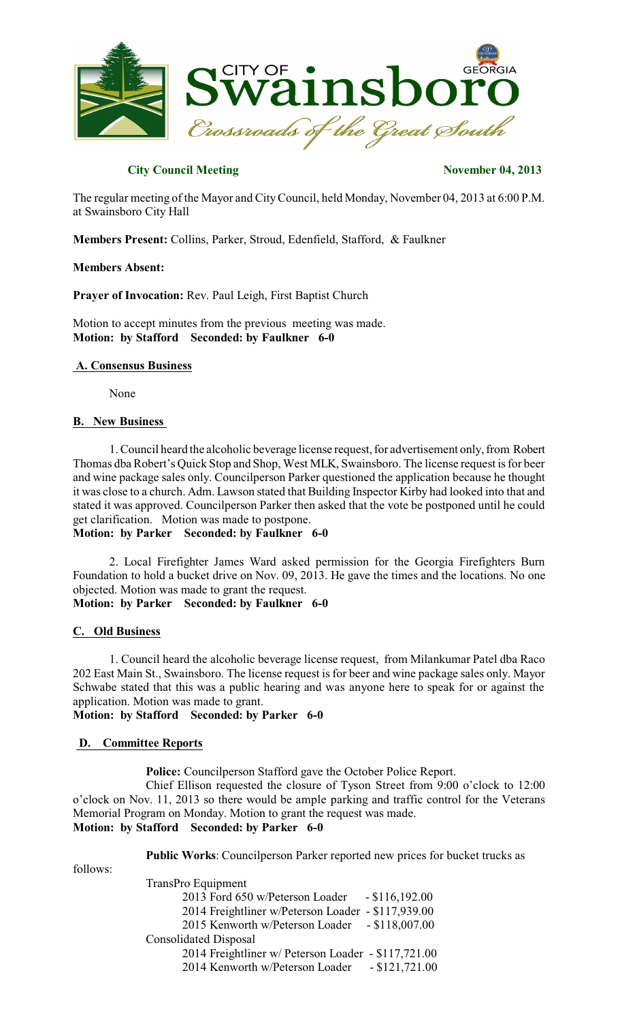

### **City Council Meeting November 04, 2013**

The regular meeting of the Mayor and CityCouncil, held Monday, November 04, 2013 at 6:00 P.M. at Swainsboro City Hall

**Members Present:** Collins, Parker, Stroud, Edenfield, Stafford, & Faulkner

#### **Members Absent:**

**Prayer of Invocation:** Rev. Paul Leigh, First Baptist Church

Motion to accept minutes from the previous meeting was made. **Motion: by Stafford Seconded: by Faulkner 6-0**

### **A. Consensus Business**

None

#### **B. New Business**

1. Council heard the alcoholic beverage license request, for advertisement only, from Robert Thomas dba Robert's Quick Stop and Shop, West MLK, Swainsboro. The license request is for beer and wine package sales only. Councilperson Parker questioned the application because he thought it was close to a church. Adm. Lawson stated that Building Inspector Kirby had looked into that and stated it was approved. Councilperson Parker then asked that the vote be postponed until he could get clarification. Motion was made to postpone.

# **Motion: by Parker Seconded: by Faulkner 6-0**

2. Local Firefighter James Ward asked permission for the Georgia Firefighters Burn Foundation to hold a bucket drive on Nov. 09, 2013. He gave the times and the locations. No one objected. Motion was made to grant the request.

# **Motion: by Parker Seconded: by Faulkner 6-0**

#### **C. Old Business**

1. Council heard the alcoholic beverage license request, from Milankumar Patel dba Raco 202 East Main St., Swainsboro. The license request isfor beer and wine package sales only. Mayor Schwabe stated that this was a public hearing and was anyone here to speak for or against the application. Motion was made to grant.

**Motion: by Stafford Seconded: by Parker 6-0**

### **D. Committee Reports**

**Police:** Councilperson Stafford gave the October Police Report.

Chief Ellison requested the closure of Tyson Street from 9:00 o'clock to 12:00 o'clock on Nov. 11, 2013 so there would be ample parking and traffic control for the Veterans Memorial Program on Monday. Motion to grant the request was made. **Motion: by Stafford Seconded: by Parker 6-0**

follows:

**Public Works**: Councilperson Parker reported new prices for bucket trucks as

TransPro Equipment 2013 Ford 650 w/Peterson Loader - \$116,192.00 2014 Freightliner w/Peterson Loader - \$117,939.00 2015 Kenworth w/Peterson Loader - \$118,007.00 Consolidated Disposal 2014 Freightliner w/ Peterson Loader - \$117,721.00 2014 Kenworth w/Peterson Loader - \$121,721.00